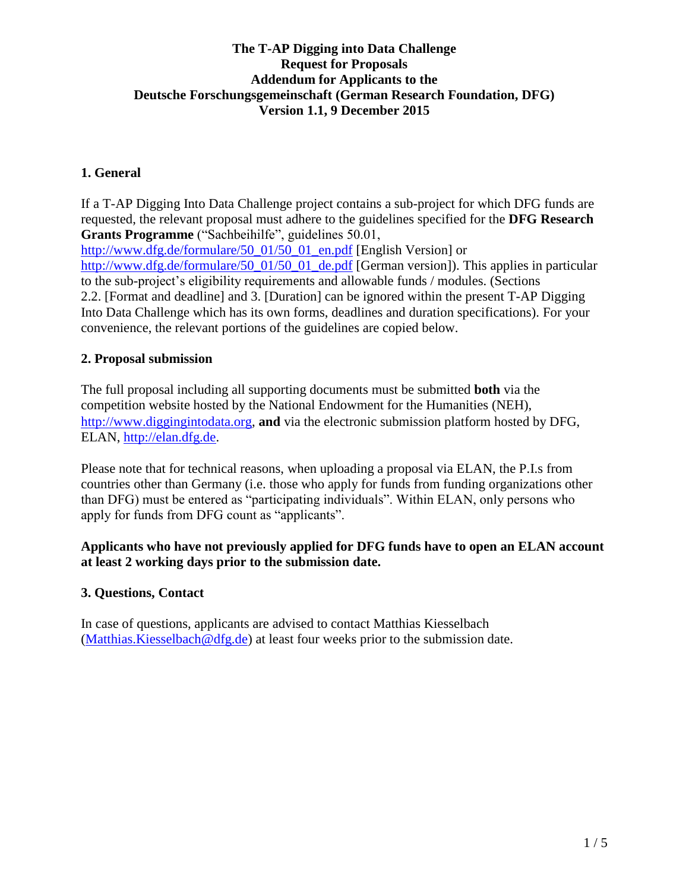# **The T-AP Digging into Data Challenge Request for Proposals Addendum for Applicants to the Deutsche Forschungsgemeinschaft (German Research Foundation, DFG) Version 1.1, 9 December 2015**

# **1. General**

If a T-AP Digging Into Data Challenge project contains a sub-project for which DFG funds are requested, the relevant proposal must adhere to the guidelines specified for the **DFG Research Grants Programme** ("Sachbeihilfe", guidelines 50.01, [http://www.dfg.de/formulare/50\\_01/50\\_01\\_en.pdf](http://www.dfg.de/formulare/50_01/50_01_en.pdf) [English Version] or [http://www.dfg.de/formulare/50\\_01/50\\_01\\_de.pdf](http://www.dfg.de/formulare/50_01/50_01_de.pdf) [German version]). This applies in particular to the sub-project's eligibility requirements and allowable funds / modules. (Sections 2.2. [Format and deadline] and 3. [Duration] can be ignored within the present T-AP Digging Into Data Challenge which has its own forms, deadlines and duration specifications). For your convenience, the relevant portions of the guidelines are copied below.

## **2. Proposal submission**

The full proposal including all supporting documents must be submitted **both** via the competition website hosted by the National Endowment for the Humanities (NEH), [http://www.diggingintodata.org,](http://www.diggingintodata.org/) **and**via the electronic submission platform hosted by DFG, ELAN, [http://elan.dfg.de.](http://elan.dfg.de/)

Please note that for technical reasons, when uploading a proposal via ELAN, the P.I.s from countries other than Germany (i.e. those who apply for funds from funding organizations other than DFG) must be entered as "participating individuals". Within ELAN, only persons who apply for funds from DFG count as "applicants".

## **Applicants who have not previously applied for DFG funds have to open an ELAN account at least 2 working days prior to the submission date.**

## **3. Questions, Contact**

In case of questions, applicants are advised to contact Matthias Kiesselbach [\(Matthias.Kiesselbach@dfg.de\)](mailto:Matthias.Kiesselbach@dfg.de) at least four weeks prior to the submission date.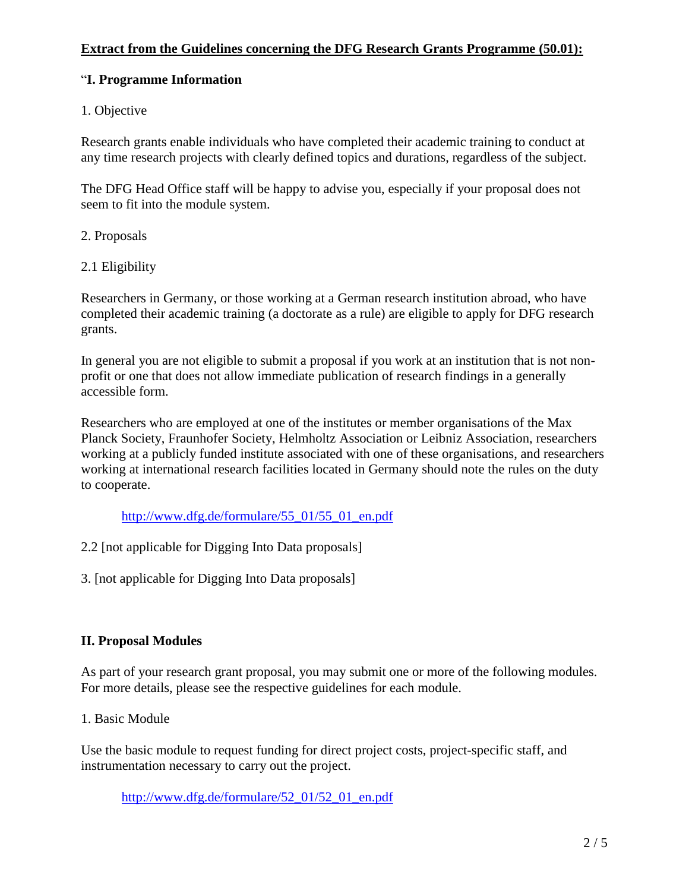## **Extract from the Guidelines concerning the DFG Research Grants Programme (50.01):**

### "**I. Programme Information**

### 1. Objective

Research grants enable individuals who have completed their academic training to conduct at any time research projects with clearly defined topics and durations, regardless of the subject.

The DFG Head Office staff will be happy to advise you, especially if your proposal does not seem to fit into the module system.

#### 2. Proposals

### 2.1 Eligibility

Researchers in Germany, or those working at a German research institution abroad, who have completed their academic training (a doctorate as a rule) are eligible to apply for DFG research grants.

In general you are not eligible to submit a proposal if you work at an institution that is not nonprofit or one that does not allow immediate publication of research findings in a generally accessible form.

Researchers who are employed at one of the institutes or member organisations of the Max Planck Society, Fraunhofer Society, Helmholtz Association or Leibniz Association, researchers working at a publicly funded institute associated with one of these organisations, and researchers working at international research facilities located in Germany should note the rules on the duty to cooperate.

[http://www.dfg.de/formulare/55\\_01/55\\_01\\_en.pdf](http://www.dfg.de/formulare/55_01/55_01_en.pdf)

2.2 [not applicable for Digging Into Data proposals]

3. [not applicable for Digging Into Data proposals]

## **II. Proposal Modules**

As part of your research grant proposal, you may submit one or more of the following modules. For more details, please see the respective guidelines for each module.

1. Basic Module

Use the basic module to request funding for direct project costs, project-specific staff, and instrumentation necessary to carry out the project.

[http://www.dfg.de/formulare/52\\_01/52\\_01\\_en.pdf](http://www.dfg.de/formulare/52_01/52_01_en.pdf)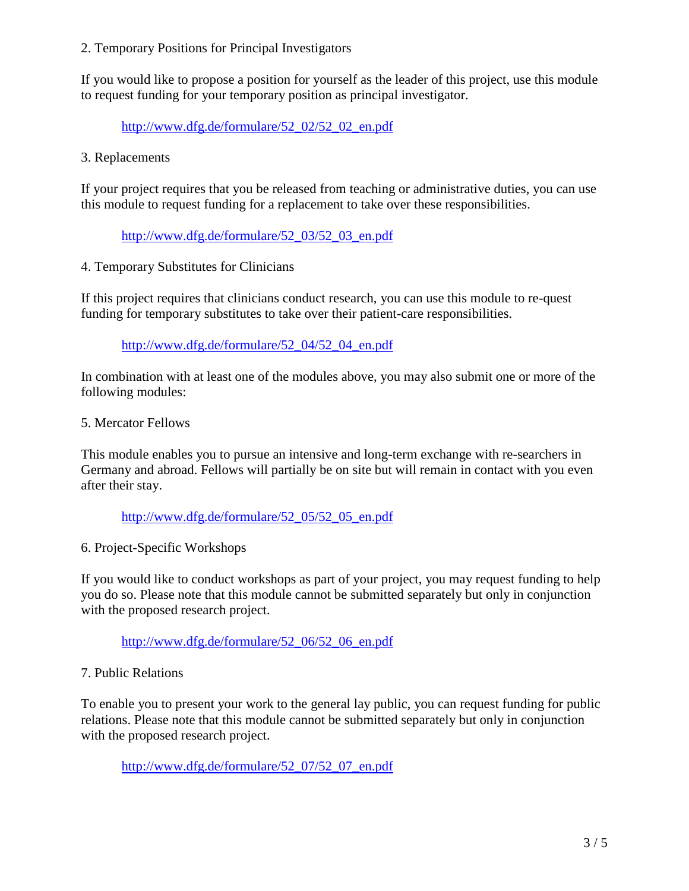#### 2. Temporary Positions for Principal Investigators

If you would like to propose a position for yourself as the leader of this project, use this module to request funding for your temporary position as principal investigator.

[http://www.dfg.de/formulare/52\\_02/52\\_02\\_en.pdf](http://www.dfg.de/formulare/52_02/52_02_en.pdf)

3. Replacements

If your project requires that you be released from teaching or administrative duties, you can use this module to request funding for a replacement to take over these responsibilities.

[http://www.dfg.de/formulare/52\\_03/52\\_03\\_en.pdf](http://www.dfg.de/formulare/52_03/52_03_en.pdf)

4. Temporary Substitutes for Clinicians

If this project requires that clinicians conduct research, you can use this module to re-quest funding for temporary substitutes to take over their patient-care responsibilities.

[http://www.dfg.de/formulare/52\\_04/52\\_04\\_en.pdf](http://www.dfg.de/formulare/52_04/52_04_en.pdf)

In combination with at least one of the modules above, you may also submit one or more of the following modules:

5. Mercator Fellows

This module enables you to pursue an intensive and long-term exchange with re-searchers in Germany and abroad. Fellows will partially be on site but will remain in contact with you even after their stay.

[http://www.dfg.de/formulare/52\\_05/52\\_05\\_en.pdf](http://www.dfg.de/formulare/52_05/52_05_en.pdf)

6. Project-Specific Workshops

If you would like to conduct workshops as part of your project, you may request funding to help you do so. Please note that this module cannot be submitted separately but only in conjunction with the proposed research project.

[http://www.dfg.de/formulare/52\\_06/52\\_06\\_en.pdf](http://www.dfg.de/formulare/52_06/52_06_en.pdf)

## 7. Public Relations

To enable you to present your work to the general lay public, you can request funding for public relations. Please note that this module cannot be submitted separately but only in conjunction with the proposed research project.

[http://www.dfg.de/formulare/52\\_07/52\\_07\\_en.pdf](http://www.dfg.de/formulare/52_07/52_07_en.pdf)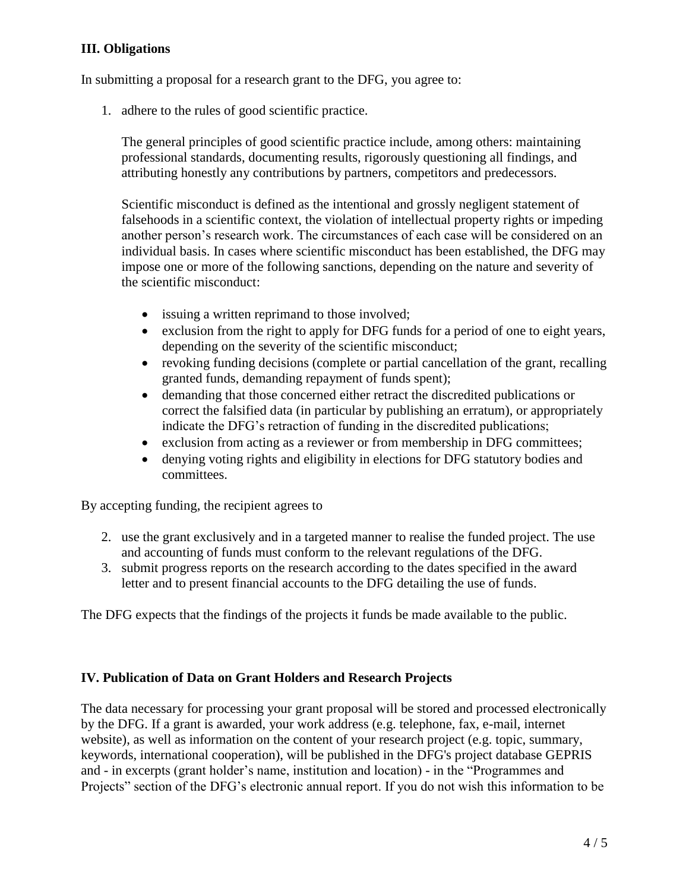# **III. Obligations**

In submitting a proposal for a research grant to the DFG, you agree to:

1. adhere to the rules of good scientific practice.

The general principles of good scientific practice include, among others: maintaining professional standards, documenting results, rigorously questioning all findings, and attributing honestly any contributions by partners, competitors and predecessors.

Scientific misconduct is defined as the intentional and grossly negligent statement of falsehoods in a scientific context, the violation of intellectual property rights or impeding another person's research work. The circumstances of each case will be considered on an individual basis. In cases where scientific misconduct has been established, the DFG may impose one or more of the following sanctions, depending on the nature and severity of the scientific misconduct:

- issuing a written reprimand to those involved;
- exclusion from the right to apply for DFG funds for a period of one to eight years, depending on the severity of the scientific misconduct;
- revoking funding decisions (complete or partial cancellation of the grant, recalling granted funds, demanding repayment of funds spent);
- demanding that those concerned either retract the discredited publications or correct the falsified data (in particular by publishing an erratum), or appropriately indicate the DFG's retraction of funding in the discredited publications;
- exclusion from acting as a reviewer or from membership in DFG committees;
- denying voting rights and eligibility in elections for DFG statutory bodies and committees.

By accepting funding, the recipient agrees to

- 2. use the grant exclusively and in a targeted manner to realise the funded project. The use and accounting of funds must conform to the relevant regulations of the DFG.
- 3. submit progress reports on the research according to the dates specified in the award letter and to present financial accounts to the DFG detailing the use of funds.

The DFG expects that the findings of the projects it funds be made available to the public.

## **IV. Publication of Data on Grant Holders and Research Projects**

The data necessary for processing your grant proposal will be stored and processed electronically by the DFG. If a grant is awarded, your work address (e.g. telephone, fax, e-mail, internet website), as well as information on the content of your research project (e.g. topic, summary, keywords, international cooperation), will be published in the DFG's project database GEPRIS and - in excerpts (grant holder's name, institution and location) - in the "Programmes and Projects" section of the DFG's electronic annual report. If you do not wish this information to be